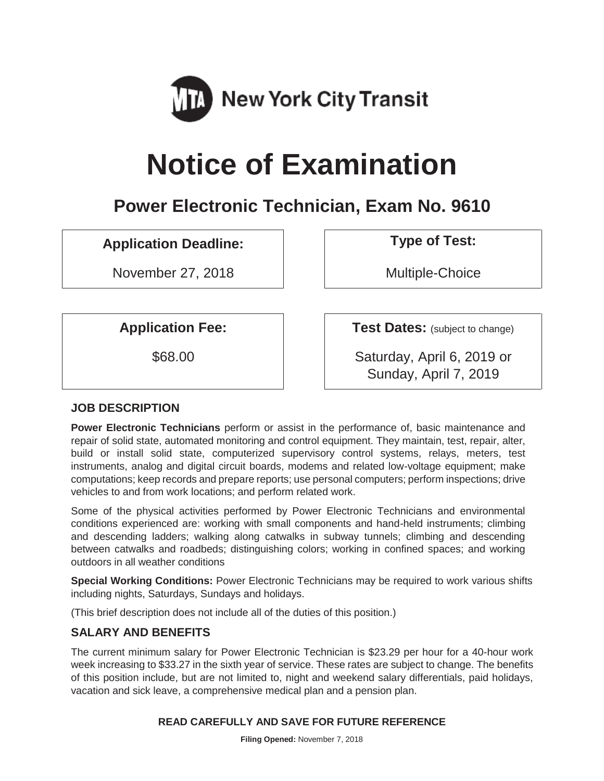

# **Notice of Examination**

# **Power Electronic Technician, Exam No. 9610**

# **Application Deadline: Type of Test:**

November 27, 2018 and the Multiple-Choice

**Application Fee:**  $\vert$  **Test Dates:** (subject to change)

\$68.00 Saturday, April 6, 2019 or Sunday, April 7, 2019

# **JOB DESCRIPTION**

**Power Electronic Technicians** perform or assist in the performance of, basic maintenance and repair of solid state, automated monitoring and control equipment. They maintain, test, repair, alter, build or install solid state, computerized supervisory control systems, relays, meters, test instruments, analog and digital circuit boards, modems and related low-voltage equipment; make computations; keep records and prepare reports; use personal computers; perform inspections; drive vehicles to and from work locations; and perform related work.

Some of the physical activities performed by Power Electronic Technicians and environmental conditions experienced are: working with small components and hand-held instruments; climbing and descending ladders; walking along catwalks in subway tunnels; climbing and descending between catwalks and roadbeds; distinguishing colors; working in confined spaces; and working outdoors in all weather conditions

**Special Working Conditions:** Power Electronic Technicians may be required to work various shifts including nights, Saturdays, Sundays and holidays.

(This brief description does not include all of the duties of this position.)

# **SALARY AND BENEFITS**

The current minimum salary for Power Electronic Technician is \$23.29 per hour for a 40-hour work week increasing to \$33.27 in the sixth year of service. These rates are subject to change. The benefits of this position include, but are not limited to, night and weekend salary differentials, paid holidays, vacation and sick leave, a comprehensive medical plan and a pension plan.

#### **READ CAREFULLY AND SAVE FOR FUTURE REFERENCE**

**Filing Opened:** November 7, 2018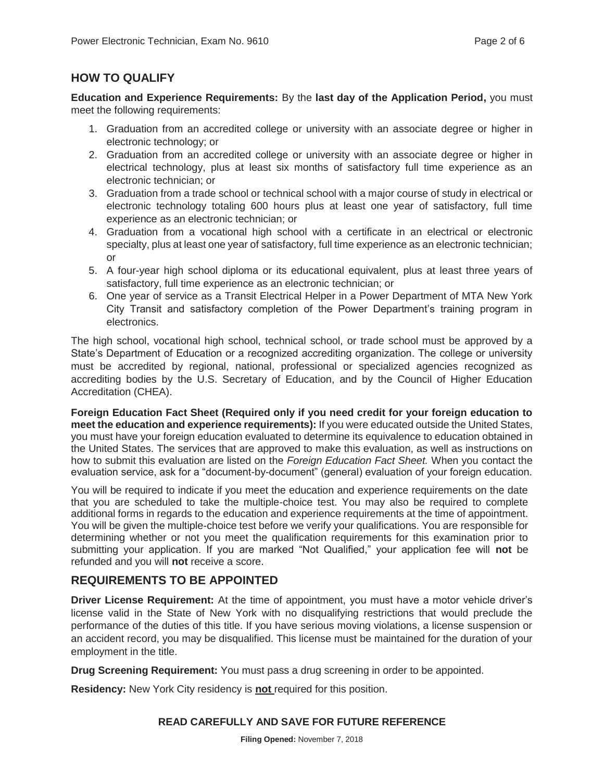#### **HOW TO QUALIFY**

**Education and Experience Requirements:** By the **last day of the Application Period,** you must meet the following requirements:

- 1. Graduation from an accredited college or university with an associate degree or higher in electronic technology; or
- 2. Graduation from an accredited college or university with an associate degree or higher in electrical technology, plus at least six months of satisfactory full time experience as an electronic technician; or
- 3. Graduation from a trade school or technical school with a major course of study in electrical or electronic technology totaling 600 hours plus at least one year of satisfactory, full time experience as an electronic technician; or
- 4. Graduation from a vocational high school with a certificate in an electrical or electronic specialty, plus at least one year of satisfactory, full time experience as an electronic technician; or
- 5. A four-year high school diploma or its educational equivalent, plus at least three years of satisfactory, full time experience as an electronic technician; or
- 6. One year of service as a Transit Electrical Helper in a Power Department of MTA New York City Transit and satisfactory completion of the Power Department's training program in electronics.

The high school, vocational high school, technical school, or trade school must be approved by a State's Department of Education or a recognized accrediting organization. The college or university must be accredited by regional, national, professional or specialized agencies recognized as accrediting bodies by the U.S. Secretary of Education, and by the Council of Higher Education Accreditation (CHEA).

**Foreign Education Fact Sheet (Required only if you need credit for your foreign education to meet the education and experience requirements):** If you were educated outside the United States, you must have your foreign education evaluated to determine its equivalence to education obtained in the United States. The services that are approved to make this evaluation, as well as instructions on how to submit this evaluation are listed on the *Foreign Education Fact Sheet.* When you contact the evaluation service, ask for a "document-by-document" (general) evaluation of your foreign education.

You will be required to indicate if you meet the education and experience requirements on the date that you are scheduled to take the multiple-choice test. You may also be required to complete additional forms in regards to the education and experience requirements at the time of appointment. You will be given the multiple-choice test before we verify your qualifications. You are responsible for determining whether or not you meet the qualification requirements for this examination prior to submitting your application. If you are marked "Not Qualified," your application fee will **not** be refunded and you will **not** receive a score.

# **REQUIREMENTS TO BE APPOINTED**

**Driver License Requirement:** At the time of appointment, you must have a motor vehicle driver's license valid in the State of New York with no disqualifying restrictions that would preclude the performance of the duties of this title. If you have serious moving violations, a license suspension or an accident record, you may be disqualified. This license must be maintained for the duration of your employment in the title.

**Drug Screening Requirement:** You must pass a drug screening in order to be appointed.

**Residency:** New York City residency is **not** required for this position.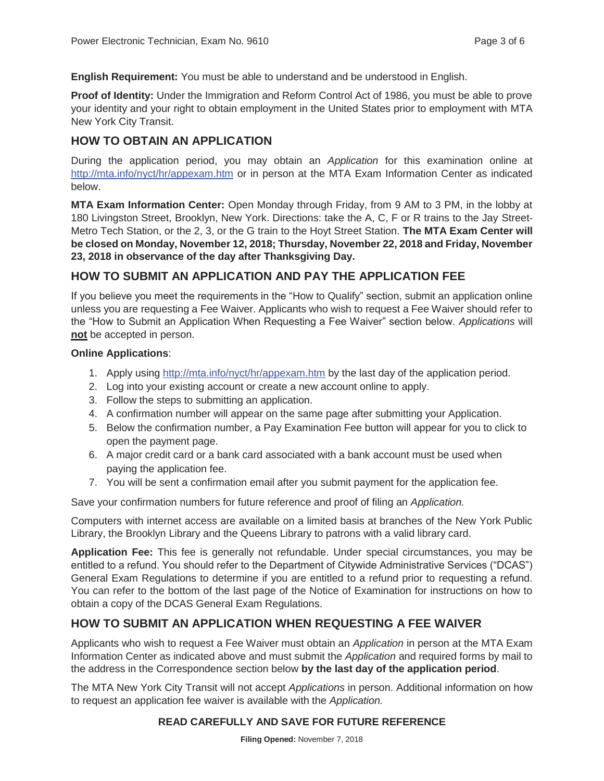**English Requirement:** You must be able to understand and be understood in English.

**Proof of Identity:** Under the Immigration and Reform Control Act of 1986, you must be able to prove your identity and your right to obtain employment in the United States prior to employment with MTA New York City Transit.

#### **HOW TO OBTAIN AN APPLICATION**

During the application period, you may obtain an *Application* for this examination online at http://mta.info/nyct/hr/appexam.htm or in person at the MTA Exam Information Center as indicated below.

**MTA Exam Information Center:** Open Monday through Friday, from 9 AM to 3 PM, in the lobby at 180 Livingston Street, Brooklyn, New York. Directions: take the A, C, F or R trains to the Jay Street-Metro Tech Station, or the 2, 3, or the G train to the Hoyt Street Station. **The MTA Exam Center will be closed on Monday, November 12, 2018; Thursday, November 22, 2018 and Friday, November 23, 2018 in observance of the day after Thanksgiving Day.**

# **HOW TO SUBMIT AN APPLICATION AND PAY THE APPLICATION FEE**

If you believe you meet the requirements in the "How to Qualify" section, submit an application online unless you are requesting a Fee Waiver. Applicants who wish to request a Fee Waiver should refer to the "How to Submit an Application When Requesting a Fee Waiver" section below. *Applications* will **not** be accepted in person.

#### **Online Applications**:

- 1. Apply using http://mta.info/nyct/hr/appexam.htm by the last day of the application period.
- 2. Log into your existing account or create a new account online to apply.
- 3. Follow the steps to submitting an application.
- 4. A confirmation number will appear on the same page after submitting your Application.
- 5. Below the confirmation number, a Pay Examination Fee button will appear for you to click to open the payment page.
- 6. A major credit card or a bank card associated with a bank account must be used when paying the application fee.
- 7. You will be sent a confirmation email after you submit payment for the application fee.

Save your confirmation numbers for future reference and proof of filing an *Application.*

Computers with internet access are available on a limited basis at branches of the New York Public Library, the Brooklyn Library and the Queens Library to patrons with a valid library card.

**Application Fee:** This fee is generally not refundable. Under special circumstances, you may be entitled to a refund. You should refer to the Department of Citywide Administrative Services ("DCAS") General Exam Regulations to determine if you are entitled to a refund prior to requesting a refund. You can refer to the bottom of the last page of the Notice of Examination for instructions on how to obtain a copy of the DCAS General Exam Regulations.

# **HOW TO SUBMIT AN APPLICATION WHEN REQUESTING A FEE WAIVER**

Applicants who wish to request a Fee Waiver must obtain an *Application* in person at the MTA Exam Information Center as indicated above and must submit the *Application* and required forms by mail to the address in the Correspondence section below **by the last day of the application period**.

The MTA New York City Transit will not accept *Applications* in person. Additional information on how to request an application fee waiver is available with the *Application.*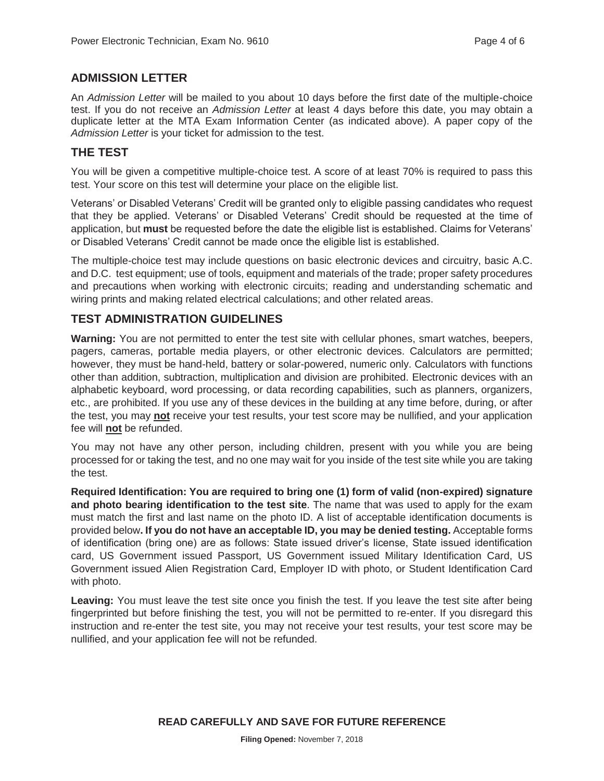#### **ADMISSION LETTER**

An *Admission Letter* will be mailed to you about 10 days before the first date of the multiple-choice test. If you do not receive an *Admission Letter* at least 4 days before this date, you may obtain a duplicate letter at the MTA Exam Information Center (as indicated above). A paper copy of the *Admission Letter* is your ticket for admission to the test.

#### **THE TEST**

You will be given a competitive multiple-choice test. A score of at least 70% is required to pass this test. Your score on this test will determine your place on the eligible list.

Veterans' or Disabled Veterans' Credit will be granted only to eligible passing candidates who request that they be applied. Veterans' or Disabled Veterans' Credit should be requested at the time of application, but **must** be requested before the date the eligible list is established. Claims for Veterans' or Disabled Veterans' Credit cannot be made once the eligible list is established.

The multiple-choice test may include questions on basic electronic devices and circuitry, basic A.C. and D.C. test equipment; use of tools, equipment and materials of the trade; proper safety procedures and precautions when working with electronic circuits; reading and understanding schematic and wiring prints and making related electrical calculations; and other related areas.

#### **TEST ADMINISTRATION GUIDELINES**

**Warning:** You are not permitted to enter the test site with cellular phones, smart watches, beepers, pagers, cameras, portable media players, or other electronic devices. Calculators are permitted; however, they must be hand-held, battery or solar-powered, numeric only. Calculators with functions other than addition, subtraction, multiplication and division are prohibited. Electronic devices with an alphabetic keyboard, word processing, or data recording capabilities, such as planners, organizers, etc., are prohibited. If you use any of these devices in the building at any time before, during, or after the test, you may **not** receive your test results, your test score may be nullified, and your application fee will **not** be refunded.

You may not have any other person, including children, present with you while you are being processed for or taking the test, and no one may wait for you inside of the test site while you are taking the test.

**Required Identification: You are required to bring one (1) form of valid (non-expired) signature and photo bearing identification to the test site**. The name that was used to apply for the exam must match the first and last name on the photo ID. A list of acceptable identification documents is provided below**. If you do not have an acceptable ID, you may be denied testing.** Acceptable forms of identification (bring one) are as follows: State issued driver's license, State issued identification card, US Government issued Passport, US Government issued Military Identification Card, US Government issued Alien Registration Card, Employer ID with photo, or Student Identification Card with photo.

**Leaving:** You must leave the test site once you finish the test. If you leave the test site after being fingerprinted but before finishing the test, you will not be permitted to re-enter. If you disregard this instruction and re-enter the test site, you may not receive your test results, your test score may be nullified, and your application fee will not be refunded.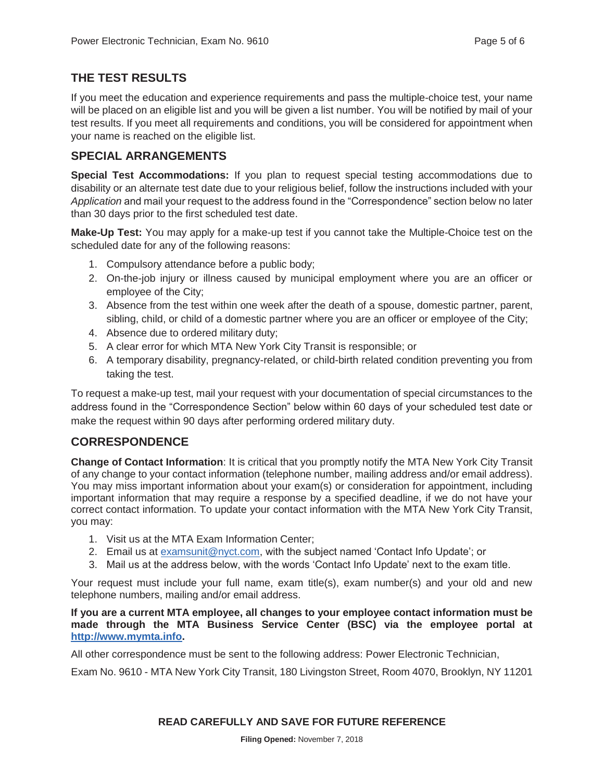# **THE TEST RESULTS**

If you meet the education and experience requirements and pass the multiple-choice test, your name will be placed on an eligible list and you will be given a list number. You will be notified by mail of your test results. If you meet all requirements and conditions, you will be considered for appointment when your name is reached on the eligible list.

#### **SPECIAL ARRANGEMENTS**

**Special Test Accommodations:** If you plan to request special testing accommodations due to disability or an alternate test date due to your religious belief, follow the instructions included with your *Application* and mail your request to the address found in the "Correspondence" section below no later than 30 days prior to the first scheduled test date.

**Make-Up Test:** You may apply for a make-up test if you cannot take the Multiple-Choice test on the scheduled date for any of the following reasons:

- 1. Compulsory attendance before a public body;
- 2. On-the-job injury or illness caused by municipal employment where you are an officer or employee of the City;
- 3. Absence from the test within one week after the death of a spouse, domestic partner, parent, sibling, child, or child of a domestic partner where you are an officer or employee of the City;
- 4. Absence due to ordered military duty;
- 5. A clear error for which MTA New York City Transit is responsible; or
- 6. A temporary disability, pregnancy-related, or child-birth related condition preventing you from taking the test.

To request a make-up test, mail your request with your documentation of special circumstances to the address found in the "Correspondence Section" below within 60 days of your scheduled test date or make the request within 90 days after performing ordered military duty.

# **CORRESPONDENCE**

**Change of Contact Information**: It is critical that you promptly notify the MTA New York City Transit of any change to your contact information (telephone number, mailing address and/or email address). You may miss important information about your exam(s) or consideration for appointment, including important information that may require a response by a specified deadline, if we do not have your correct contact information. To update your contact information with the MTA New York City Transit, you may:

- 1. Visit us at the MTA Exam Information Center;
- 2. Email us at examsunit@nyct.com, with the subject named 'Contact Info Update'; or
- 3. Mail us at the address below, with the words 'Contact Info Update' next to the exam title.

Your request must include your full name, exam title(s), exam number(s) and your old and new telephone numbers, mailing and/or email address.

**If you are a current MTA employee, all changes to your employee contact information must be made through the MTA Business Service Center (BSC) via the employee portal at http://www.mymta.info.** 

All other correspondence must be sent to the following address: Power Electronic Technician,

Exam No. 9610 - MTA New York City Transit, 180 Livingston Street, Room 4070, Brooklyn, NY 11201